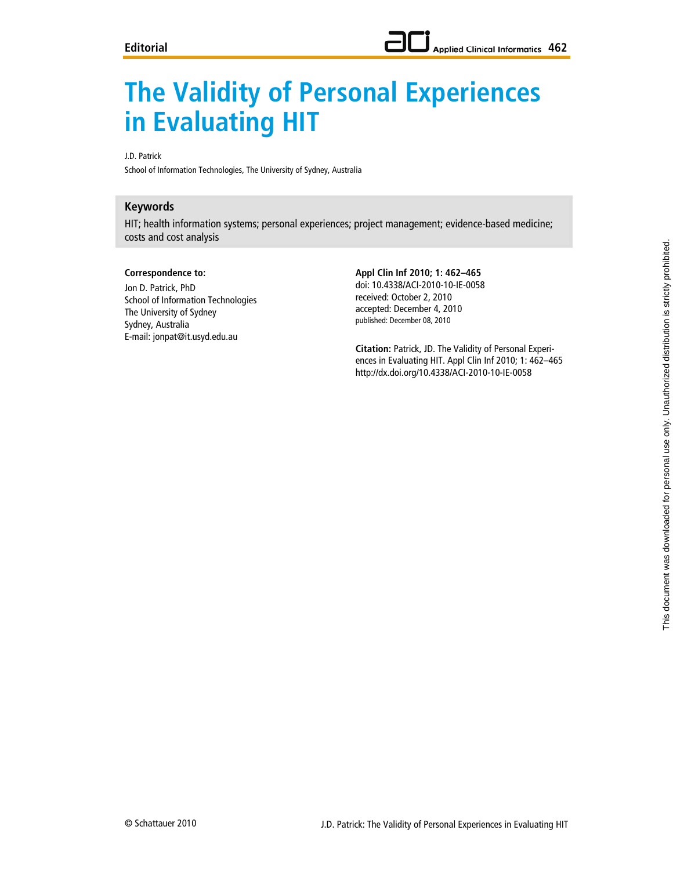# **The Validity of Personal Experiences in Evaluating HIT**

J.D. Patrick

School of Information Technologies, The University of Sydney, Australia

## **Keywords**

HIT; health information systems; personal experiences; project management; evidence-based medicine; costs and cost analysis

#### **Correspondence to:**

Jon D. Patrick, PhD School of Information Technologies The University of Sydney Sydney, Australia E-mail: jonpat@it.usyd.edu.au

### **Appl Clin Inf 2010; 1: 462–465** doi: 10.4338/ACI-2010-10-IE-0058 received: October 2, 2010 accepted: December 4, 2010 published: December 08, 2010

**Citation:** Patrick, JD. The Validity of Personal Experiences in Evaluating HIT. Appl Clin Inf 2010; 1: 462–465 http://dx.doi.org/10.4338/ACI-2010-10-IE-0058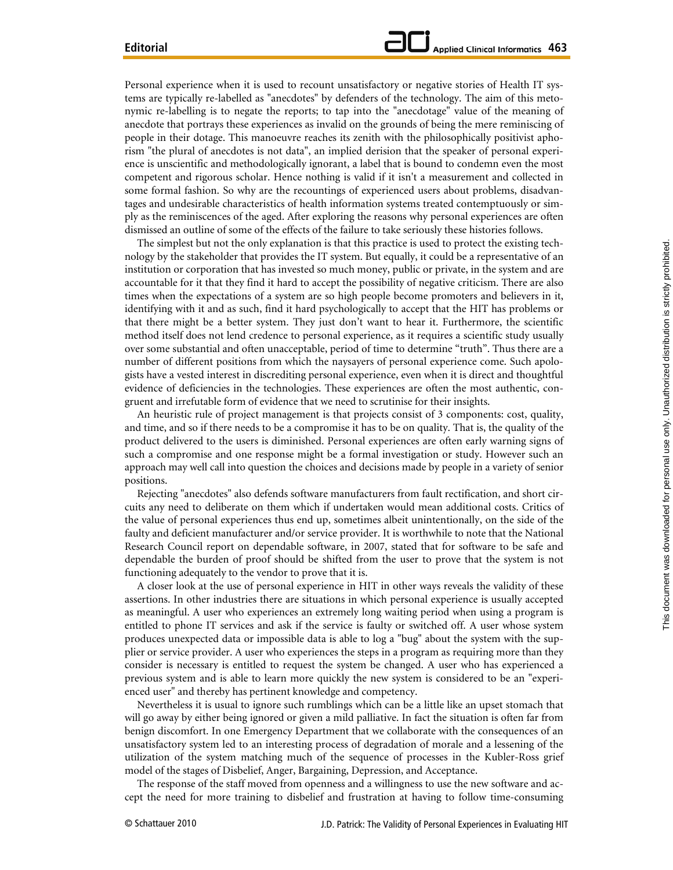Personal experience when it is used to recount unsatisfactory or negative stories of Health IT systems are typically re-labelled as "anecdotes" by defenders of the technology. The aim of this metonymic re-labelling is to negate the reports; to tap into the "anecdotage" value of the meaning of anecdote that portrays these experiences as invalid on the grounds of being the mere reminiscing of people in their dotage. This manoeuvre reaches its zenith with the philosophically positivist aphorism "the plural of anecdotes is not data", an implied derision that the speaker of personal experience is unscientific and methodologically ignorant, a label that is bound to condemn even the most competent and rigorous scholar. Hence nothing is valid if it isn't a measurement and collected in some formal fashion. So why are the recountings of experienced users about problems, disadvantages and undesirable characteristics of health information systems treated contemptuously or simply as the reminiscences of the aged. After exploring the reasons why personal experiences are often dismissed an outline of some of the effects of the failure to take seriously these histories follows.

The simplest but not the only explanation is that this practice is used to protect the existing technology by the stakeholder that provides the IT system. But equally, it could be a representative of an institution or corporation that has invested so much money, public or private, in the system and are accountable for it that they find it hard to accept the possibility of negative criticism. There are also times when the expectations of a system are so high people become promoters and believers in it, identifying with it and as such, find it hard psychologically to accept that the HIT has problems or that there might be a better system. They just don't want to hear it. Furthermore, the scientific method itself does not lend credence to personal experience, as it requires a scientific study usually over some substantial and often unacceptable, period of time to determine "truth". Thus there are a number of different positions from which the naysayers of personal experience come. Such apologists have a vested interest in discrediting personal experience, even when it is direct and thoughtful evidence of deficiencies in the technologies. These experiences are often the most authentic, congruent and irrefutable form of evidence that we need to scrutinise for their insights.

An heuristic rule of project management is that projects consist of 3 components: cost, quality, and time, and so if there needs to be a compromise it has to be on quality. That is, the quality of the product delivered to the users is diminished. Personal experiences are often early warning signs of such a compromise and one response might be a formal investigation or study. However such an approach may well call into question the choices and decisions made by people in a variety of senior positions.

Rejecting "anecdotes" also defends software manufacturers from fault rectification, and short circuits any need to deliberate on them which if undertaken would mean additional costs. Critics of the value of personal experiences thus end up, sometimes albeit unintentionally, on the side of the faulty and deficient manufacturer and/or service provider. It is worthwhile to note that the National Research Council report on dependable software, in 2007, stated that for software to be safe and dependable the burden of proof should be shifted from the user to prove that the system is not functioning adequately to the vendor to prove that it is.

A closer look at the use of personal experience in HIT in other ways reveals the validity of these assertions. In other industries there are situations in which personal experience is usually accepted as meaningful. A user who experiences an extremely long waiting period when using a program is entitled to phone IT services and ask if the service is faulty or switched off. A user whose system produces unexpected data or impossible data is able to log a "bug" about the system with the supplier or service provider. A user who experiences the steps in a program as requiring more than they consider is necessary is entitled to request the system be changed. A user who has experienced a previous system and is able to learn more quickly the new system is considered to be an "experienced user" and thereby has pertinent knowledge and competency.

Nevertheless it is usual to ignore such rumblings which can be a little like an upset stomach that will go away by either being ignored or given a mild palliative. In fact the situation is often far from benign discomfort. In one Emergency Department that we collaborate with the consequences of an unsatisfactory system led to an interesting process of degradation of morale and a lessening of the utilization of the system matching much of the sequence of processes in the Kubler-Ross grief model of the stages of Disbelief, Anger, Bargaining, Depression, and Acceptance.

The response of the staff moved from openness and a willingness to use the new software and accept the need for more training to disbelief and frustration at having to follow time-consuming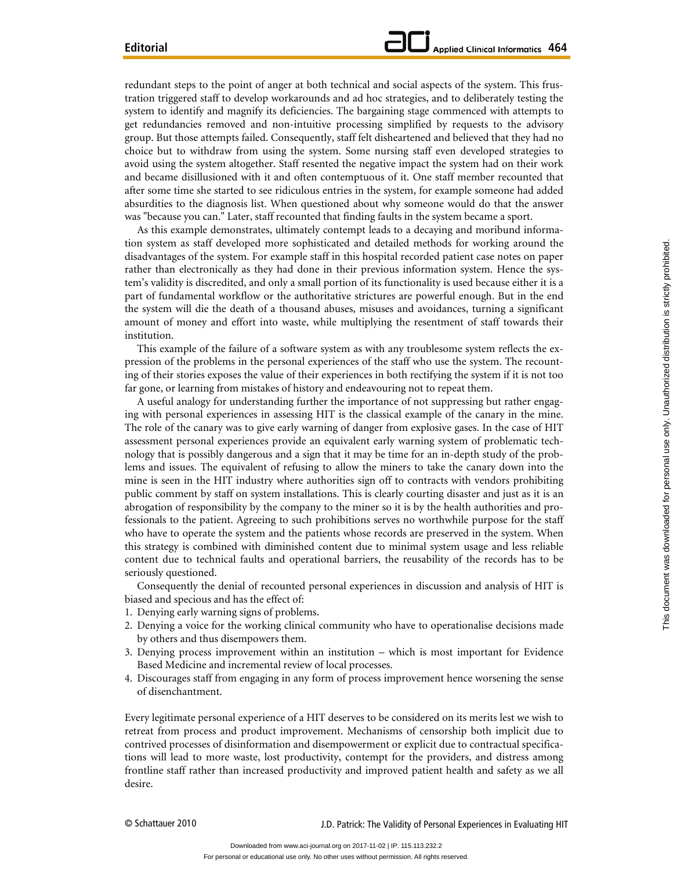redundant steps to the point of anger at both technical and social aspects of the system. This frustration triggered staff to develop workarounds and ad hoc strategies, and to deliberately testing the system to identify and magnify its deficiencies. The bargaining stage commenced with attempts to get redundancies removed and non-intuitive processing simplified by requests to the advisory group. But those attempts failed. Consequently, staff felt disheartened and believed that they had no choice but to withdraw from using the system. Some nursing staff even developed strategies to avoid using the system altogether. Staff resented the negative impact the system had on their work and became disillusioned with it and often contemptuous of it. One staff member recounted that after some time she started to see ridiculous entries in the system, for example someone had added absurdities to the diagnosis list. When questioned about why someone would do that the answer was "because you can." Later, staff recounted that finding faults in the system became a sport.

As this example demonstrates, ultimately contempt leads to a decaying and moribund information system as staff developed more sophisticated and detailed methods for working around the disadvantages of the system. For example staff in this hospital recorded patient case notes on paper rather than electronically as they had done in their previous information system. Hence the system's validity is discredited, and only a small portion of its functionality is used because either it is a part of fundamental workflow or the authoritative strictures are powerful enough. But in the end the system will die the death of a thousand abuses, misuses and avoidances, turning a significant amount of money and effort into waste, while multiplying the resentment of staff towards their institution.

This example of the failure of a software system as with any troublesome system reflects the expression of the problems in the personal experiences of the staff who use the system. The recounting of their stories exposes the value of their experiences in both rectifying the system if it is not too far gone, or learning from mistakes of history and endeavouring not to repeat them.

A useful analogy for understanding further the importance of not suppressing but rather engaging with personal experiences in assessing HIT is the classical example of the canary in the mine. The role of the canary was to give early warning of danger from explosive gases. In the case of HIT assessment personal experiences provide an equivalent early warning system of problematic technology that is possibly dangerous and a sign that it may be time for an in-depth study of the problems and issues. The equivalent of refusing to allow the miners to take the canary down into the mine is seen in the HIT industry where authorities sign off to contracts with vendors prohibiting public comment by staff on system installations. This is clearly courting disaster and just as it is an abrogation of responsibility by the company to the miner so it is by the health authorities and professionals to the patient. Agreeing to such prohibitions serves no worthwhile purpose for the staff who have to operate the system and the patients whose records are preserved in the system. When this strategy is combined with diminished content due to minimal system usage and less reliable content due to technical faults and operational barriers, the reusability of the records has to be seriously questioned.

Consequently the denial of recounted personal experiences in discussion and analysis of HIT is biased and specious and has the effect of:

- 1. Denying early warning signs of problems.
- 2. Denying a voice for the working clinical community who have to operationalise decisions made by others and thus disempowers them.
- 3. Denying process improvement within an institution which is most important for Evidence Based Medicine and incremental review of local processes.
- 4. Discourages staff from engaging in any form of process improvement hence worsening the sense of disenchantment.

Every legitimate personal experience of a HIT deserves to be considered on its merits lest we wish to retreat from process and product improvement. Mechanisms of censorship both implicit due to contrived processes of disinformation and disempowerment or explicit due to contractual specifications will lead to more waste, lost productivity, contempt for the providers, and distress among frontline staff rather than increased productivity and improved patient health and safety as we all desire.